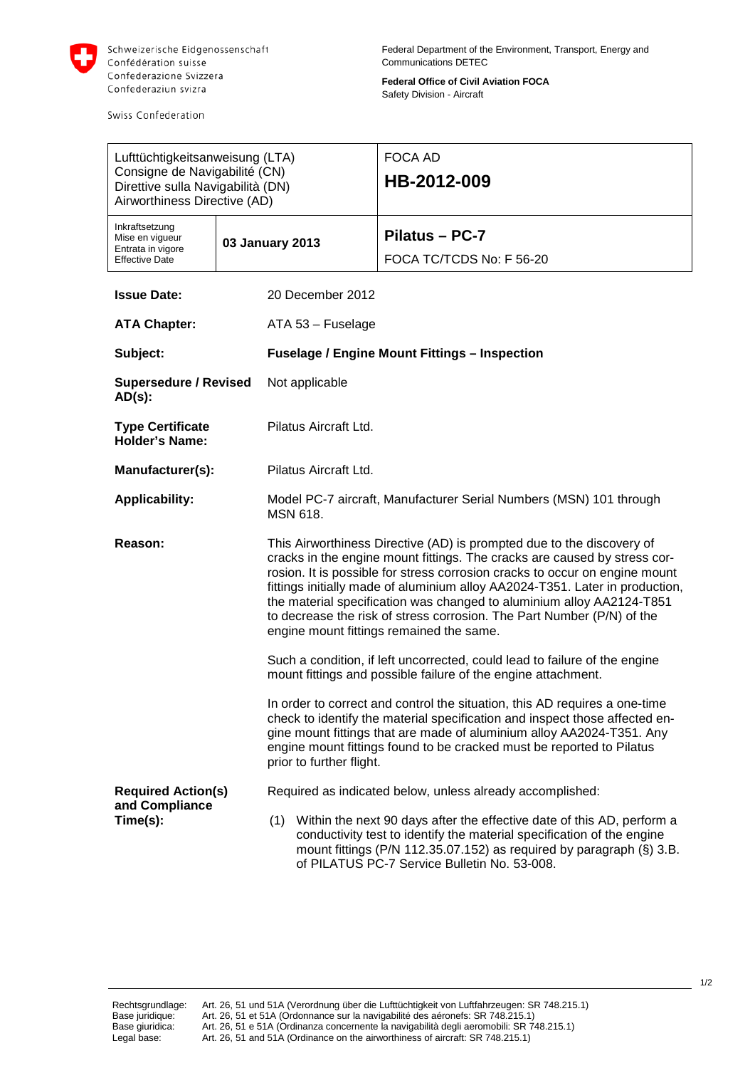

Swiss Confederation

**Federal Office of Civil Aviation FOCA** Safety Division - Aircraft

| Lufttüchtigkeitsanweisung (LTA)<br>Consigne de Navigabilité (CN)<br>Direttive sulla Navigabilità (DN)<br>Airworthiness Directive (AD) |                           |                                                      |                                                           | FOCA AD<br>HB-2012-009                                                                                                                                                                                                                                                                                                                                                                                                                                                                                           |  |  |
|---------------------------------------------------------------------------------------------------------------------------------------|---------------------------|------------------------------------------------------|-----------------------------------------------------------|------------------------------------------------------------------------------------------------------------------------------------------------------------------------------------------------------------------------------------------------------------------------------------------------------------------------------------------------------------------------------------------------------------------------------------------------------------------------------------------------------------------|--|--|
| Inkraftsetzung<br>Mise en vigueur<br>Entrata in vigore<br><b>Effective Date</b>                                                       |                           | 03 January 2013                                      |                                                           | Pilatus - PC-7<br>FOCA TC/TCDS No: F 56-20                                                                                                                                                                                                                                                                                                                                                                                                                                                                       |  |  |
| <b>Issue Date:</b>                                                                                                                    |                           |                                                      | 20 December 2012                                          |                                                                                                                                                                                                                                                                                                                                                                                                                                                                                                                  |  |  |
| <b>ATA Chapter:</b>                                                                                                                   |                           |                                                      | ATA 53 - Fuselage                                         |                                                                                                                                                                                                                                                                                                                                                                                                                                                                                                                  |  |  |
| Subject:                                                                                                                              |                           | <b>Fuselage / Engine Mount Fittings - Inspection</b> |                                                           |                                                                                                                                                                                                                                                                                                                                                                                                                                                                                                                  |  |  |
| <b>Supersedure / Revised</b><br>$AD(s)$ :                                                                                             |                           | Not applicable                                       |                                                           |                                                                                                                                                                                                                                                                                                                                                                                                                                                                                                                  |  |  |
| <b>Type Certificate</b><br><b>Holder's Name:</b>                                                                                      |                           |                                                      | Pilatus Aircraft Ltd.                                     |                                                                                                                                                                                                                                                                                                                                                                                                                                                                                                                  |  |  |
| Manufacturer(s):                                                                                                                      |                           | Pilatus Aircraft Ltd.                                |                                                           |                                                                                                                                                                                                                                                                                                                                                                                                                                                                                                                  |  |  |
| <b>Applicability:</b>                                                                                                                 |                           | MSN 618.                                             |                                                           | Model PC-7 aircraft, Manufacturer Serial Numbers (MSN) 101 through                                                                                                                                                                                                                                                                                                                                                                                                                                               |  |  |
| Reason:                                                                                                                               |                           |                                                      |                                                           | This Airworthiness Directive (AD) is prompted due to the discovery of<br>cracks in the engine mount fittings. The cracks are caused by stress cor-<br>rosion. It is possible for stress corrosion cracks to occur on engine mount<br>fittings initially made of aluminium alloy AA2024-T351. Later in production,<br>the material specification was changed to aluminium alloy AA2124-T851<br>to decrease the risk of stress corrosion. The Part Number (P/N) of the<br>engine mount fittings remained the same. |  |  |
|                                                                                                                                       |                           |                                                      |                                                           | Such a condition, if left uncorrected, could lead to failure of the engine<br>mount fittings and possible failure of the engine attachment.                                                                                                                                                                                                                                                                                                                                                                      |  |  |
|                                                                                                                                       |                           |                                                      | prior to further flight.                                  | In order to correct and control the situation, this AD requires a one-time<br>check to identify the material specification and inspect those affected en-<br>gine mount fittings that are made of aluminium alloy AA2024-T351. Any<br>engine mount fittings found to be cracked must be reported to Pilatus                                                                                                                                                                                                      |  |  |
| and Compliance                                                                                                                        | <b>Required Action(s)</b> |                                                      | Required as indicated below, unless already accomplished: |                                                                                                                                                                                                                                                                                                                                                                                                                                                                                                                  |  |  |
| Time(s):                                                                                                                              |                           | (1)                                                  |                                                           | Within the next 90 days after the effective date of this AD, perform a<br>conductivity test to identify the material specification of the engine<br>mount fittings (P/N 112.35.07.152) as required by paragraph (§) 3.B.<br>of PILATUS PC-7 Service Bulletin No. 53-008.                                                                                                                                                                                                                                         |  |  |